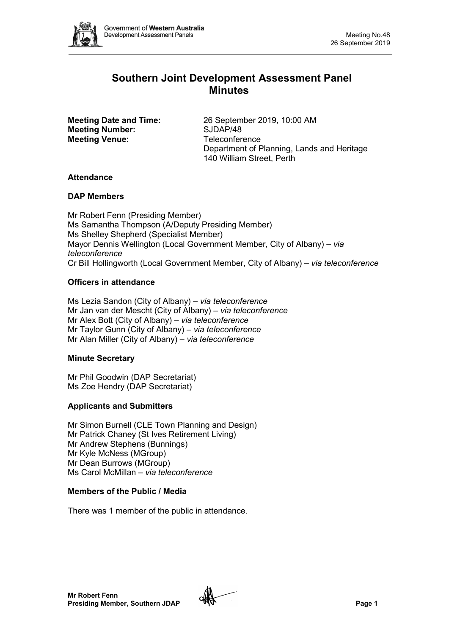

# **Southern Joint Development Assessment Panel Minutes**

**Meeting Number:** SJDAP/48 **Meeting Venue:** Teleconference

**Meeting Date and Time:** 26 September 2019, 10:00 AM Department of Planning, Lands and Heritage 140 William Street, Perth

## **Attendance**

## **DAP Members**

Mr Robert Fenn (Presiding Member) Ms Samantha Thompson (A/Deputy Presiding Member) Ms Shelley Shepherd (Specialist Member) Mayor Dennis Wellington (Local Government Member, City of Albany) *– via teleconference* Cr Bill Hollingworth (Local Government Member, City of Albany) *– via teleconference*

## **Officers in attendance**

Ms Lezia Sandon (City of Albany) *– via teleconference* Mr Jan van der Mescht (City of Albany) *– via teleconference* Mr Alex Bott (City of Albany) *– via teleconference* Mr Taylor Gunn (City of Albany) *– via teleconference* Mr Alan Miller (City of Albany) *– via teleconference*

## **Minute Secretary**

Mr Phil Goodwin (DAP Secretariat) Ms Zoe Hendry (DAP Secretariat)

## **Applicants and Submitters**

Mr Simon Burnell (CLE Town Planning and Design) Mr Patrick Chaney (St Ives Retirement Living) Mr Andrew Stephens (Bunnings) Mr Kyle McNess (MGroup) Mr Dean Burrows (MGroup) Ms Carol McMillan – *via teleconference*

## **Members of the Public / Media**

There was 1 member of the public in attendance.

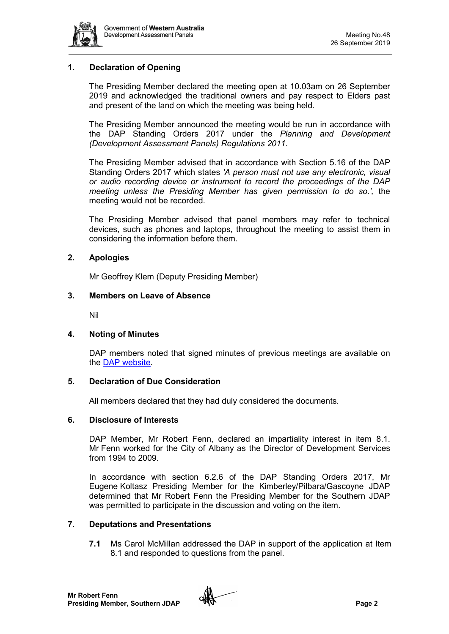

## **1. Declaration of Opening**

The Presiding Member declared the meeting open at 10.03am on 26 September 2019 and acknowledged the traditional owners and pay respect to Elders past and present of the land on which the meeting was being held.

The Presiding Member announced the meeting would be run in accordance with the DAP Standing Orders 2017 under the *Planning and Development (Development Assessment Panels) Regulations 2011*.

The Presiding Member advised that in accordance with Section 5.16 of the DAP Standing Orders 2017 which states *'A person must not use any electronic, visual or audio recording device or instrument to record the proceedings of the DAP meeting unless the Presiding Member has given permission to do so.',* the meeting would not be recorded.

The Presiding Member advised that panel members may refer to technical devices, such as phones and laptops, throughout the meeting to assist them in considering the information before them.

## **2. Apologies**

Mr Geoffrey Klem (Deputy Presiding Member)

## **3. Members on Leave of Absence**

Nil

## **4. Noting of Minutes**

DAP members noted that signed minutes of previous meetings are available on the [DAP website.](https://www.dplh.wa.gov.au/about/development-assessment-panels/daps-agendas-and-minutes)

## **5. Declaration of Due Consideration**

All members declared that they had duly considered the documents.

### **6. Disclosure of Interests**

DAP Member, Mr Robert Fenn, declared an impartiality interest in item 8.1. Mr Fenn worked for the City of Albany as the Director of Development Services from 1994 to 2009.

In accordance with section 6.2.6 of the DAP Standing Orders 2017, Mr Eugene Koltasz Presiding Member for the Kimberley/Pilbara/Gascoyne JDAP determined that Mr Robert Fenn the Presiding Member for the Southern JDAP was permitted to participate in the discussion and voting on the item.

## **7. Deputations and Presentations**

**7.1** Ms Carol McMillan addressed the DAP in support of the application at Item 8.1 and responded to questions from the panel.

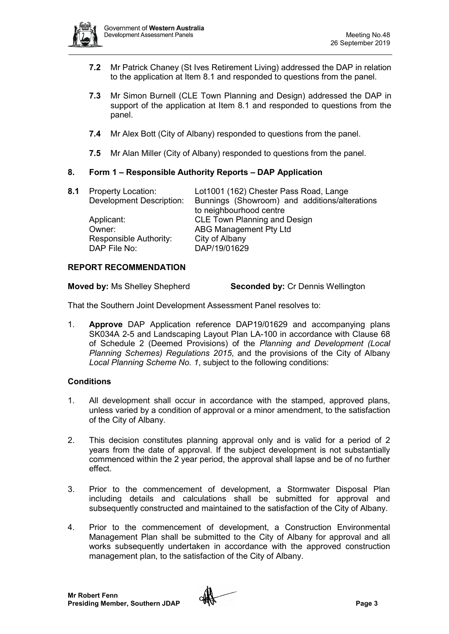

- **7.2** Mr Patrick Chaney (St Ives Retirement Living) addressed the DAP in relation to the application at Item 8.1 and responded to questions from the panel.
- **7.3** Mr Simon Burnell (CLE Town Planning and Design) addressed the DAP in support of the application at Item 8.1 and responded to questions from the panel.
- **7.4** Mr Alex Bott (City of Albany) responded to questions from the panel.
- **7.5** Mr Alan Miller (City of Albany) responded to questions from the panel.

## **8. Form 1 – Responsible Authority Reports – DAP Application**

| 8.1 Property Location:<br>Development Description: | Lot1001 (162) Chester Pass Road, Lange<br>Bunnings (Showroom) and additions/alterations |
|----------------------------------------------------|-----------------------------------------------------------------------------------------|
| Applicant:                                         | to neighbourhood centre<br><b>CLE Town Planning and Design</b>                          |
| Owner:                                             | ABG Management Pty Ltd                                                                  |
| Responsible Authority:                             | City of Albany                                                                          |
| DAP File No:                                       | DAP/19/01629                                                                            |

## **REPORT RECOMMENDATION**

**Moved by:** Ms Shelley Shepherd **Seconded by:** Cr Dennis Wellington

That the Southern Joint Development Assessment Panel resolves to:

1. **Approve** DAP Application reference DAP19/01629 and accompanying plans SK034A 2-5 and Landscaping Layout Plan LA-100 in accordance with Clause 68 of Schedule 2 (Deemed Provisions) of the *Planning and Development (Local Planning Schemes) Regulations 2015*, and the provisions of the City of Albany *Local Planning Scheme No. 1*, subject to the following conditions:

## **Conditions**

- 1. All development shall occur in accordance with the stamped, approved plans, unless varied by a condition of approval or a minor amendment, to the satisfaction of the City of Albany.
- 2. This decision constitutes planning approval only and is valid for a period of 2 years from the date of approval. If the subject development is not substantially commenced within the 2 year period, the approval shall lapse and be of no further effect.
- 3. Prior to the commencement of development, a Stormwater Disposal Plan including details and calculations shall be submitted for approval and subsequently constructed and maintained to the satisfaction of the City of Albany.
- 4. Prior to the commencement of development, a Construction Environmental Management Plan shall be submitted to the City of Albany for approval and all works subsequently undertaken in accordance with the approved construction management plan, to the satisfaction of the City of Albany.

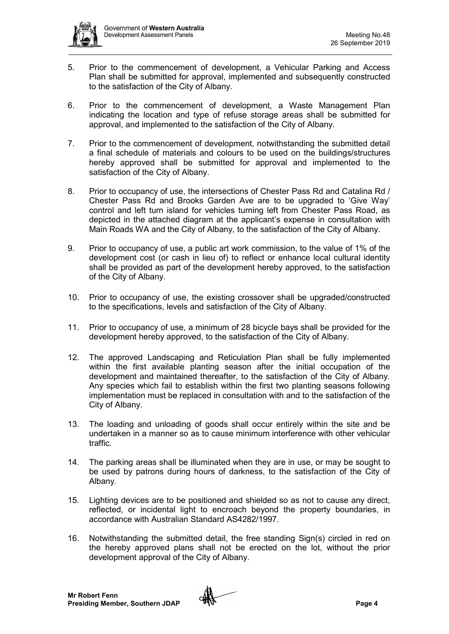

- 5. Prior to the commencement of development, a Vehicular Parking and Access Plan shall be submitted for approval, implemented and subsequently constructed to the satisfaction of the City of Albany.
- 6. Prior to the commencement of development, a Waste Management Plan indicating the location and type of refuse storage areas shall be submitted for approval, and implemented to the satisfaction of the City of Albany.
- 7. Prior to the commencement of development, notwithstanding the submitted detail a final schedule of materials and colours to be used on the buildings/structures hereby approved shall be submitted for approval and implemented to the satisfaction of the City of Albany.
- 8. Prior to occupancy of use, the intersections of Chester Pass Rd and Catalina Rd / Chester Pass Rd and Brooks Garden Ave are to be upgraded to 'Give Way' control and left turn island for vehicles turning left from Chester Pass Road, as depicted in the attached diagram at the applicant's expense in consultation with Main Roads WA and the City of Albany, to the satisfaction of the City of Albany.
- 9. Prior to occupancy of use, a public art work commission, to the value of 1% of the development cost (or cash in lieu of) to reflect or enhance local cultural identity shall be provided as part of the development hereby approved, to the satisfaction of the City of Albany.
- 10. Prior to occupancy of use, the existing crossover shall be upgraded/constructed to the specifications, levels and satisfaction of the City of Albany.
- 11. Prior to occupancy of use, a minimum of 28 bicycle bays shall be provided for the development hereby approved, to the satisfaction of the City of Albany.
- 12. The approved Landscaping and Reticulation Plan shall be fully implemented within the first available planting season after the initial occupation of the development and maintained thereafter, to the satisfaction of the City of Albany. Any species which fail to establish within the first two planting seasons following implementation must be replaced in consultation with and to the satisfaction of the City of Albany.
- 13. The loading and unloading of goods shall occur entirely within the site and be undertaken in a manner so as to cause minimum interference with other vehicular traffic.
- 14. The parking areas shall be illuminated when they are in use, or may be sought to be used by patrons during hours of darkness, to the satisfaction of the City of Albany.
- 15. Lighting devices are to be positioned and shielded so as not to cause any direct, reflected, or incidental light to encroach beyond the property boundaries, in accordance with Australian Standard AS4282/1997.
- 16. Notwithstanding the submitted detail, the free standing Sign(s) circled in red on the hereby approved plans shall not be erected on the lot, without the prior development approval of the City of Albany.

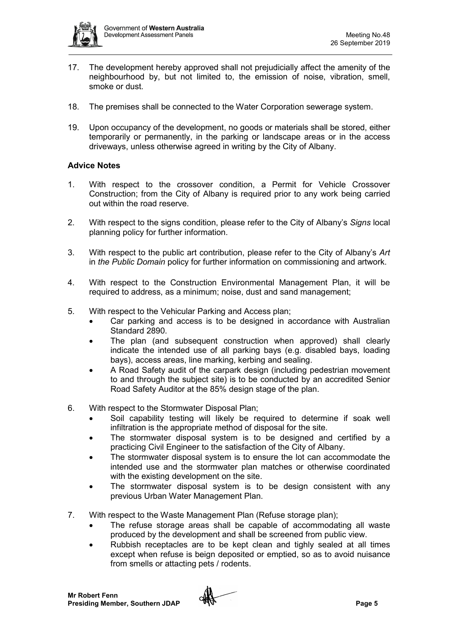

- 17. The development hereby approved shall not prejudicially affect the amenity of the neighbourhood by, but not limited to, the emission of noise, vibration, smell, smoke or dust.
- 18. The premises shall be connected to the Water Corporation sewerage system.
- 19. Upon occupancy of the development, no goods or materials shall be stored, either temporarily or permanently, in the parking or landscape areas or in the access driveways, unless otherwise agreed in writing by the City of Albany.

## **Advice Notes**

- 1. With respect to the crossover condition, a Permit for Vehicle Crossover Construction; from the City of Albany is required prior to any work being carried out within the road reserve.
- 2. With respect to the signs condition, please refer to the City of Albany's *Signs* local planning policy for further information.
- 3. With respect to the public art contribution, please refer to the City of Albany's *Art*  in *the Public Domain* policy for further information on commissioning and artwork.
- 4. With respect to the Construction Environmental Management Plan, it will be required to address, as a minimum; noise, dust and sand management;
- 5. With respect to the Vehicular Parking and Access plan;
	- Car parking and access is to be designed in accordance with Australian Standard 2890.
	- The plan (and subsequent construction when approved) shall clearly indicate the intended use of all parking bays (e.g. disabled bays, loading bays), access areas, line marking, kerbing and sealing.
	- A Road Safety audit of the carpark design (including pedestrian movement to and through the subject site) is to be conducted by an accredited Senior Road Safety Auditor at the 85% design stage of the plan.
- 6. With respect to the Stormwater Disposal Plan;
	- Soil capability testing will likely be required to determine if soak well infiltration is the appropriate method of disposal for the site.
	- The stormwater disposal system is to be designed and certified by a practicing Civil Engineer to the satisfaction of the City of Albany.
	- The stormwater disposal system is to ensure the lot can accommodate the intended use and the stormwater plan matches or otherwise coordinated with the existing development on the site.
	- The stormwater disposal system is to be design consistent with any previous Urban Water Management Plan.
- 7. With respect to the Waste Management Plan (Refuse storage plan);
	- The refuse storage areas shall be capable of accommodating all waste produced by the development and shall be screened from public view.
	- Rubbish receptacles are to be kept clean and tighly sealed at all times except when refuse is beign deposited or emptied, so as to avoid nuisance from smells or attacting pets / rodents.

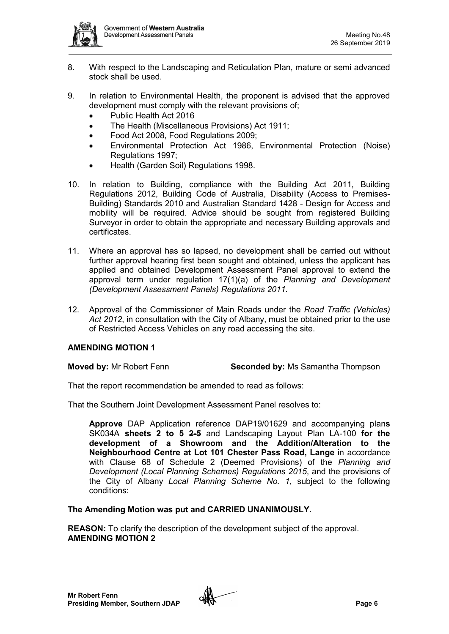

- 8. With respect to the Landscaping and Reticulation Plan, mature or semi advanced stock shall be used.
- 9. In relation to Environmental Health, the proponent is advised that the approved development must comply with the relevant provisions of;
	- Public Health Act 2016
	- The Health (Miscellaneous Provisions) Act 1911;
	- Food Act 2008, Food Regulations 2009;
	- Environmental Protection Act 1986, Environmental Protection (Noise) Regulations 1997;
	- Health (Garden Soil) Regulations 1998.
- 10. In relation to Building, compliance with the Building Act 2011, Building Regulations 2012, Building Code of Australia, Disability (Access to Premises-Building) Standards 2010 and Australian Standard 1428 - Design for Access and mobility will be required. Advice should be sought from registered Building Surveyor in order to obtain the appropriate and necessary Building approvals and certificates.
- 11. Where an approval has so lapsed, no development shall be carried out without further approval hearing first been sought and obtained, unless the applicant has applied and obtained Development Assessment Panel approval to extend the approval term under regulation 17(1)(a) of the *Planning and Development (Development Assessment Panels) Regulations 2011.*
- 12. Approval of the Commissioner of Main Roads under the *Road Traffic (Vehicles) Act 2012*, in consultation with the City of Albany, must be obtained prior to the use of Restricted Access Vehicles on any road accessing the site.

## **AMENDING MOTION 1**

**Moved by:** Mr Robert Fenn **Seconded by:** Ms Samantha Thompson

That the report recommendation be amended to read as follows:

That the Southern Joint Development Assessment Panel resolves to:

**Approve** DAP Application reference DAP19/01629 and accompanying plan**s** SK034A **sheets 2 to 5 2-5** and Landscaping Layout Plan LA-100 **for the development of a Showroom and the Addition/Alteration to the Neighbourhood Centre at Lot 101 Chester Pass Road, Lange** in accordance with Clause 68 of Schedule 2 (Deemed Provisions) of the *Planning and Development (Local Planning Schemes) Regulations 2015*, and the provisions of the City of Albany *Local Planning Scheme No. 1*, subject to the following conditions:

**The Amending Motion was put and CARRIED UNANIMOUSLY.**

**REASON:** To clarify the description of the development subject of the approval. **AMENDING MOTION 2**

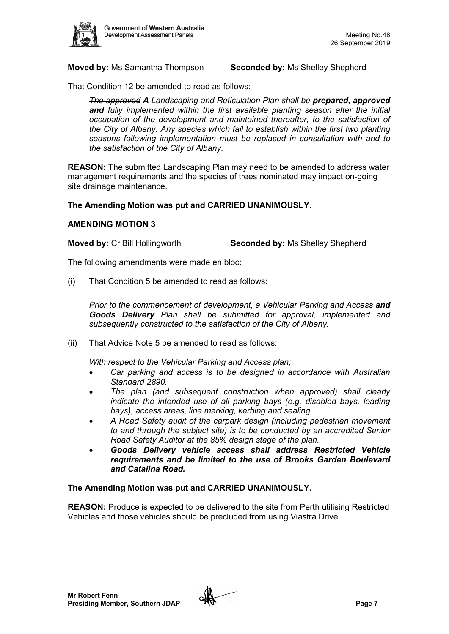

#### **Moved by:** Ms Samantha Thompson **Seconded by:** Ms Shelley Shepherd

That Condition 12 be amended to read as follows:

*The approved A Landscaping and Reticulation Plan shall be prepared, approved and fully implemented within the first available planting season after the initial occupation of the development and maintained thereafter, to the satisfaction of the City of Albany. Any species which fail to establish within the first two planting seasons following implementation must be replaced in consultation with and to the satisfaction of the City of Albany.*

**REASON:** The submitted Landscaping Plan may need to be amended to address water management requirements and the species of trees nominated may impact on-going site drainage maintenance.

### **The Amending Motion was put and CARRIED UNANIMOUSLY.**

#### **AMENDING MOTION 3**

**Moved by:** Cr Bill Hollingworth **Seconded by:** Ms Shelley Shepherd

The following amendments were made en bloc:

(i) That Condition 5 be amended to read as follows:

*Prior to the commencement of development, a Vehicular Parking and Access and Goods Delivery Plan shall be submitted for approval, implemented and subsequently constructed to the satisfaction of the City of Albany.*

(ii) That Advice Note 5 be amended to read as follows:

*With respect to the Vehicular Parking and Access plan;*

- *Car parking and access is to be designed in accordance with Australian Standard 2890.*
- *The plan (and subsequent construction when approved) shall clearly indicate the intended use of all parking bays (e.g. disabled bays, loading bays), access areas, line marking, kerbing and sealing.*
- *A Road Safety audit of the carpark design (including pedestrian movement to and through the subject site) is to be conducted by an accredited Senior Road Safety Auditor at the 85% design stage of the plan.*
- *Goods Delivery vehicle access shall address Restricted Vehicle requirements and be limited to the use of Brooks Garden Boulevard and Catalina Road.*

#### **The Amending Motion was put and CARRIED UNANIMOUSLY.**

**REASON:** Produce is expected to be delivered to the site from Perth utilising Restricted Vehicles and those vehicles should be precluded from using Viastra Drive.

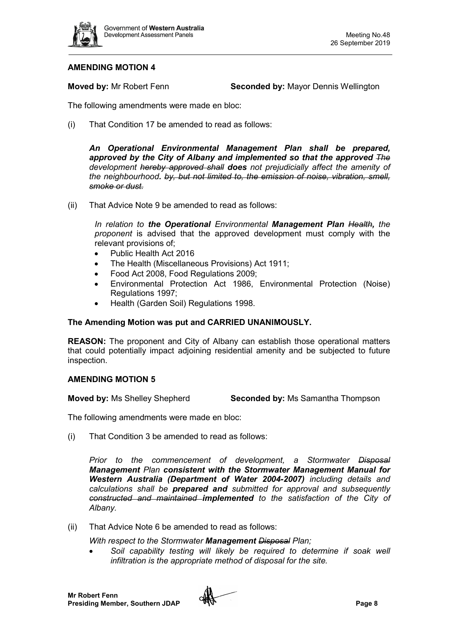

## **AMENDING MOTION 4**

**Moved by:** Mr Robert Fenn **Seconded by:** Mayor Dennis Wellington

The following amendments were made en bloc:

(i) That Condition 17 be amended to read as follows:

*An Operational Environmental Management Plan shall be prepared,*  approved by the City of Albany and implemented so that the approved The *development hereby approved shall does not prejudicially affect the amenity of the neighbourhood. by, but not limited to, the emission of noise, vibration, smell, smoke or dust.*

(ii) That Advice Note 9 be amended to read as follows:

*In relation to the Operational Environmental Management Plan Health, the proponent* is advised that the approved development must comply with the relevant provisions of;

- Public Health Act 2016
- The Health (Miscellaneous Provisions) Act 1911;
- Food Act 2008, Food Regulations 2009;
- Environmental Protection Act 1986, Environmental Protection (Noise) Regulations 1997;
- Health (Garden Soil) Regulations 1998.

### **The Amending Motion was put and CARRIED UNANIMOUSLY.**

**REASON:** The proponent and City of Albany can establish those operational matters that could potentially impact adjoining residential amenity and be subjected to future inspection.

### **AMENDING MOTION 5**

**Moved by:** Ms Shelley Shepherd **Seconded by:** Ms Samantha Thompson

The following amendments were made en bloc:

(i) That Condition 3 be amended to read as follows:

*Prior to the commencement of development, a Stormwater Disposal Management Plan consistent with the Stormwater Management Manual for Western Australia (Department of Water 2004-2007) including details and calculations shall be prepared and submitted for approval and subsequently constructed and maintained implemented to the satisfaction of the City of Albany.*

(ii) That Advice Note 6 be amended to read as follows:

*With respect to the Stormwater Management Disposal Plan;*

Soil capability testing will likely be required to determine if soak well *infiltration is the appropriate method of disposal for the site.*

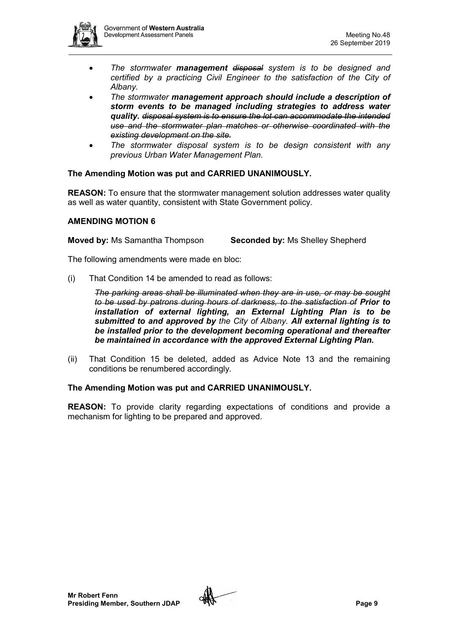- *The stormwater management disposal system is to be designed and certified by a practicing Civil Engineer to the satisfaction of the City of Albany.*
- *The stormwater management approach should include a description of storm events to be managed including strategies to address water quality. disposal system is to ensure the lot can accommodate the intended use and the stormwater plan matches or otherwise coordinated with the existing development on the site.*
- *The stormwater disposal system is to be design consistent with any previous Urban Water Management Plan.*

## **The Amending Motion was put and CARRIED UNANIMOUSLY.**

**REASON:** To ensure that the stormwater management solution addresses water quality as well as water quantity, consistent with State Government policy.

## **AMENDING MOTION 6**

**Moved by:** Ms Samantha Thompson **Seconded by:** Ms Shelley Shepherd

The following amendments were made en bloc:

(i) That Condition 14 be amended to read as follows:

*The parking areas shall be illuminated when they are in use, or may be sought to be used by patrons during hours of darkness, to the satisfaction of Prior to installation of external lighting, an External Lighting Plan is to be submitted to and approved by the City of Albany. All external lighting is to be installed prior to the development becoming operational and thereafter be maintained in accordance with the approved External Lighting Plan.*

(ii) That Condition 15 be deleted, added as Advice Note 13 and the remaining conditions be renumbered accordingly.

## **The Amending Motion was put and CARRIED UNANIMOUSLY.**

**REASON:** To provide clarity regarding expectations of conditions and provide a mechanism for lighting to be prepared and approved.

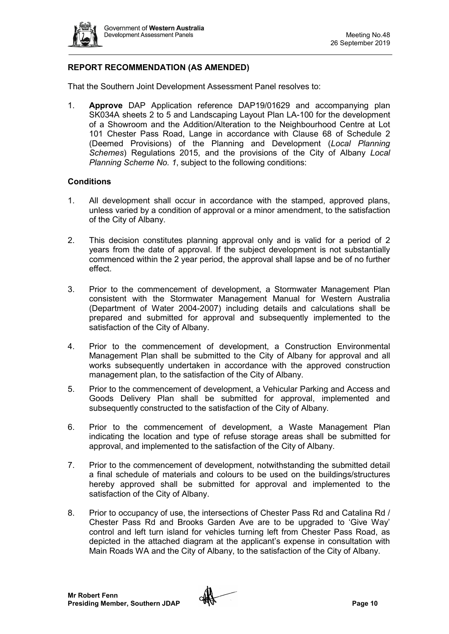

## **REPORT RECOMMENDATION (AS AMENDED)**

That the Southern Joint Development Assessment Panel resolves to:

1. **Approve** DAP Application reference DAP19/01629 and accompanying plan SK034A sheets 2 to 5 and Landscaping Layout Plan LA-100 for the development of a Showroom and the Addition/Alteration to the Neighbourhood Centre at Lot 101 Chester Pass Road, Lange in accordance with Clause 68 of Schedule 2 (Deemed Provisions) of the Planning and Development (*Local Planning Schemes*) Regulations 2015, and the provisions of the City of Albany *Local Planning Scheme No. 1*, subject to the following conditions:

## **Conditions**

- 1. All development shall occur in accordance with the stamped, approved plans, unless varied by a condition of approval or a minor amendment, to the satisfaction of the City of Albany.
- 2. This decision constitutes planning approval only and is valid for a period of 2 years from the date of approval. If the subject development is not substantially commenced within the 2 year period, the approval shall lapse and be of no further effect.
- 3. Prior to the commencement of development, a Stormwater Management Plan consistent with the Stormwater Management Manual for Western Australia (Department of Water 2004-2007) including details and calculations shall be prepared and submitted for approval and subsequently implemented to the satisfaction of the City of Albany.
- 4. Prior to the commencement of development, a Construction Environmental Management Plan shall be submitted to the City of Albany for approval and all works subsequently undertaken in accordance with the approved construction management plan, to the satisfaction of the City of Albany.
- 5. Prior to the commencement of development, a Vehicular Parking and Access and Goods Delivery Plan shall be submitted for approval, implemented and subsequently constructed to the satisfaction of the City of Albany.
- 6. Prior to the commencement of development, a Waste Management Plan indicating the location and type of refuse storage areas shall be submitted for approval, and implemented to the satisfaction of the City of Albany.
- 7. Prior to the commencement of development, notwithstanding the submitted detail a final schedule of materials and colours to be used on the buildings/structures hereby approved shall be submitted for approval and implemented to the satisfaction of the City of Albany.
- 8. Prior to occupancy of use, the intersections of Chester Pass Rd and Catalina Rd / Chester Pass Rd and Brooks Garden Ave are to be upgraded to 'Give Way' control and left turn island for vehicles turning left from Chester Pass Road, as depicted in the attached diagram at the applicant's expense in consultation with Main Roads WA and the City of Albany, to the satisfaction of the City of Albany.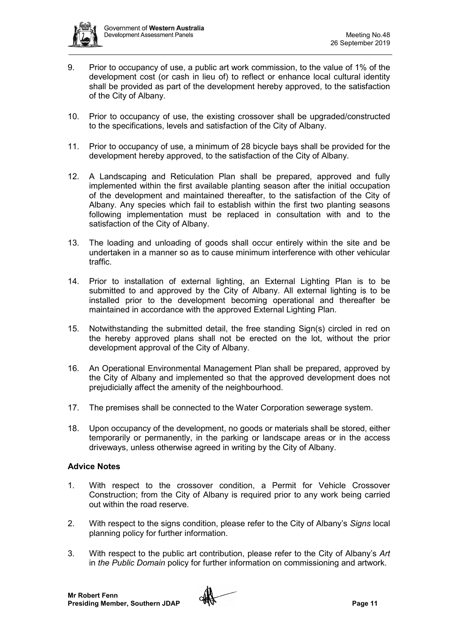

- 9. Prior to occupancy of use, a public art work commission, to the value of 1% of the development cost (or cash in lieu of) to reflect or enhance local cultural identity shall be provided as part of the development hereby approved, to the satisfaction of the City of Albany.
- 10. Prior to occupancy of use, the existing crossover shall be upgraded/constructed to the specifications, levels and satisfaction of the City of Albany.
- 11. Prior to occupancy of use, a minimum of 28 bicycle bays shall be provided for the development hereby approved, to the satisfaction of the City of Albany.
- 12. A Landscaping and Reticulation Plan shall be prepared, approved and fully implemented within the first available planting season after the initial occupation of the development and maintained thereafter, to the satisfaction of the City of Albany. Any species which fail to establish within the first two planting seasons following implementation must be replaced in consultation with and to the satisfaction of the City of Albany.
- 13. The loading and unloading of goods shall occur entirely within the site and be undertaken in a manner so as to cause minimum interference with other vehicular traffic.
- 14. Prior to installation of external lighting, an External Lighting Plan is to be submitted to and approved by the City of Albany. All external lighting is to be installed prior to the development becoming operational and thereafter be maintained in accordance with the approved External Lighting Plan.
- 15. Notwithstanding the submitted detail, the free standing Sign(s) circled in red on the hereby approved plans shall not be erected on the lot, without the prior development approval of the City of Albany.
- 16. An Operational Environmental Management Plan shall be prepared, approved by the City of Albany and implemented so that the approved development does not prejudicially affect the amenity of the neighbourhood.
- 17. The premises shall be connected to the Water Corporation sewerage system.
- 18. Upon occupancy of the development, no goods or materials shall be stored, either temporarily or permanently, in the parking or landscape areas or in the access driveways, unless otherwise agreed in writing by the City of Albany.

## **Advice Notes**

- 1. With respect to the crossover condition, a Permit for Vehicle Crossover Construction; from the City of Albany is required prior to any work being carried out within the road reserve.
- 2. With respect to the signs condition, please refer to the City of Albany's *Signs* local planning policy for further information.
- 3. With respect to the public art contribution, please refer to the City of Albany's *Art*  in *the Public Domain* policy for further information on commissioning and artwork.

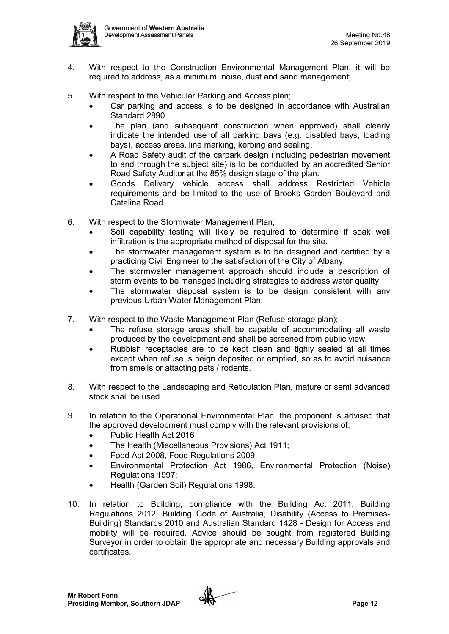

- 4. With respect to the Construction Environmental Management Plan, it will be required to address, as a minimum; noise, dust and sand management;
- 5. With respect to the Vehicular Parking and Access plan;
	- Car parking and access is to be designed in accordance with Australian Standard 2890.
	- The plan (and subsequent construction when approved) shall clearly indicate the intended use of all parking bays (e.g. disabled bays, loading bays), access areas, line marking, kerbing and sealing.
	- A Road Safety audit of the carpark design (including pedestrian movement to and through the subject site) is to be conducted by an accredited Senior Road Safety Auditor at the 85% design stage of the plan.
	- Goods Delivery vehicle access shall address Restricted Vehicle requirements and be limited to the use of Brooks Garden Boulevard and Catalina Road.
- 6. With respect to the Stormwater Management Plan;
	- Soil capability testing will likely be required to determine if soak well infiltration is the appropriate method of disposal for the site.
	- The stormwater management system is to be designed and certified by a practicing Civil Engineer to the satisfaction of the City of Albany.
	- The stormwater management approach should include a description of storm events to be managed including strategies to address water quality.
	- The stormwater disposal system is to be design consistent with any previous Urban Water Management Plan.
- 7. With respect to the Waste Management Plan (Refuse storage plan);
	- The refuse storage areas shall be capable of accommodating all waste produced by the development and shall be screened from public view.
	- Rubbish receptacles are to be kept clean and tighly sealed at all times except when refuse is beign deposited or emptied, so as to avoid nuisance from smells or attacting pets / rodents.
- 8. With respect to the Landscaping and Reticulation Plan, mature or semi advanced stock shall be used.
- 9. In relation to the Operational Environmental Plan, the proponent is advised that the approved development must comply with the relevant provisions of;
	- Public Health Act 2016
	- The Health (Miscellaneous Provisions) Act 1911;
	- Food Act 2008, Food Regulations 2009;
	- Environmental Protection Act 1986, Environmental Protection (Noise) Regulations 1997;
	- Health (Garden Soil) Regulations 1998.
- 10. In relation to Building, compliance with the Building Act 2011, Building Regulations 2012, Building Code of Australia, Disability (Access to Premises-Building) Standards 2010 and Australian Standard 1428 - Design for Access and mobility will be required. Advice should be sought from registered Building Surveyor in order to obtain the appropriate and necessary Building approvals and certificates.